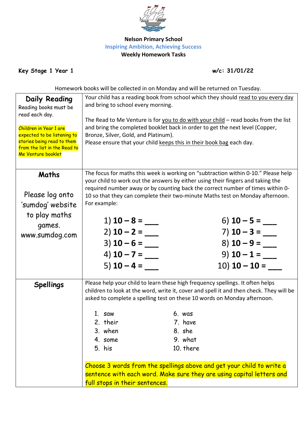

## **Nelson Primary School Inspiring Ambition, Achieving Success Weekly Homework Tasks**

**Key Stage 1 Year 1 w/c: 31/01/22**

Homework books will be collected in on Monday and will be returned on Tuesday.

| <b>Daily Reading</b><br>Reading books must be<br>read each day.<br>Children in Year 1 are<br>expected to be listening to<br>stories being read to them<br>from the list in the Read to<br>Me Venture booklet | Your child has a reading book from school which they should read to you every day<br>and bring to school every morning.<br>The Read to Me Venture is for you to do with your child - read books from the list<br>and bring the completed booklet back in order to get the next level (Copper,<br>Bronze, Silver, Gold, and Platinum).<br>Please ensure that your child keeps this in their book bag each day. |                                                                                                                                                                                                                                                                                                                                                                                                                                                                |  |  |
|--------------------------------------------------------------------------------------------------------------------------------------------------------------------------------------------------------------|---------------------------------------------------------------------------------------------------------------------------------------------------------------------------------------------------------------------------------------------------------------------------------------------------------------------------------------------------------------------------------------------------------------|----------------------------------------------------------------------------------------------------------------------------------------------------------------------------------------------------------------------------------------------------------------------------------------------------------------------------------------------------------------------------------------------------------------------------------------------------------------|--|--|
| Maths<br>Please log onto<br>'sumdog' website<br>to play maths<br>games.<br>www.sumdog.com                                                                                                                    | For example:<br>1) $10 - 8 =$ ____<br>$2)$ 10 – 2 = ___<br>$3)$ 10 – 6 = ___<br>4) <b>10 – 7 =</b><br>5) $10 - 4 =$                                                                                                                                                                                                                                                                                           | The focus for maths this week is working on "subtraction within 0-10." Please help<br>your child to work out the answers by either using their fingers and taking the<br>required number away or by counting back the correct number of times within 0-<br>10 so that they can complete their two-minute Maths test on Monday afternoon.<br>6) <b>10 – 5 =</b><br>7) $10 - 3 =$<br>$8)$ 10 - 9 = ___<br>9) $10 - 1 =$                                          |  |  |
| <b>Spellings</b>                                                                                                                                                                                             | 1. saw<br>2. their<br>3. when<br>4. some<br>5. his<br>full stops in their sentences.                                                                                                                                                                                                                                                                                                                          | Please help your child to learn these high frequency spellings. It often helps<br>children to look at the word, write it, cover and spell it and then check. They will be<br>asked to complete a spelling test on these 10 words on Monday afternoon.<br>6. was<br>7. have<br>8. she<br>9. what<br>10. there<br>Choose 3 words from the spellings above and get your child to write a<br>sentence with each word. Make sure they are using capital letters and |  |  |